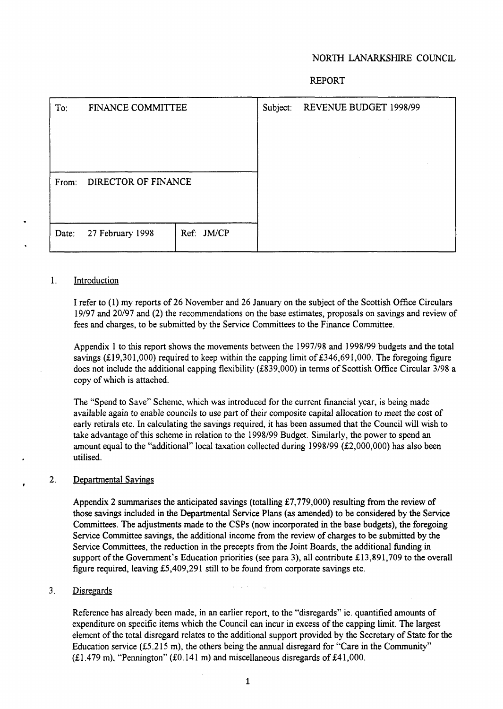#### NORTH LANARKSHIRE COUNCIL

#### REPORT

|       |                          |            |          | .                      |
|-------|--------------------------|------------|----------|------------------------|
| To:   | <b>FINANCE COMMITTEE</b> |            | Subject: | REVENUE BUDGET 1998/99 |
| From: | DIRECTOR OF FINANCE      |            |          |                        |
| Date: | 27 February 1998         | Ref: JM/CP |          |                        |

#### 1. Introduction

**I** refer to (1) my reports of 26 November and 26 January on the subject of the Scottish Office Circulars 19/97 and 20/97 and (2) the recommendations on the base estimates, proposals on savings and review of fees and charges, to be submitted by the Service Committees to the Finance Committee.

Appendix 1 to **this** report shows the movements between the 1997/98 and 1998/99 budgets and the total savings (£19,301,000) required to keep within the capping limit of £346,691,000. The foregoing figure does not include the additional capping flexibility (£839,000) in terms of Scottish Office Circular 3/98 a copy of which is attached.

The "Spend to Save" Scheme, which was introduced for the current financial year, is being made available again to enable councils to use part of their composite capital allocation to meet the cost of early retirals etc. In calculating the savings required, it has been assumed that the Council will wish to take advantage of this scheme in relation to the 1998/99 Budget. Similarly, the power to spend an amount equal to the "additional" local taxation collected during 1998/99 (£2,000,000) has also been utilised.

#### 2. Departmental Savings

Appendix **2** summarises the anticipated savings (totalling €7,779,000) resulting from the review of those savings included **in** the Departmental Service Plans **(as** amended) to be considered by the Service Committees. The adjustments made to the CSPs (now incorporated in the base budgets), the foregoing Service Committee savings, the additional income from the review of charges to be submitted by the Service Committees, the reduction in the precepts from the Joint Boards, the additional **funding** in support of the Government's Education priorities (see para **3),** all contribute €13,891,709 to the overall figure required, leaving £5,409,291 still to be found from corporate savings etc.

#### .. 3. Disregards

Reference has already been made, in an earlier report, to the "disregards" ie. quantified amounts of expenditure on specific items which the Council can incur in excess of the capping limit. The largest element of the total disregard relates to the additional support provided by the Secretary of State for the Education service  $(f5.215 \text{ m})$ , the others being the annual disregard for "Care in the Community"  $(£1.479 \text{ m})$ , "Pennington"  $(£0.141 \text{ m})$  and miscellaneous disregards of £41,000.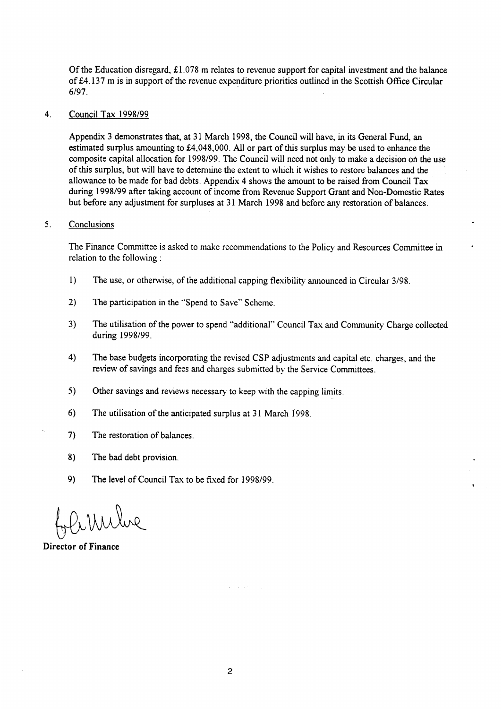Of the Education disregard, £1.078 m relates to revenue support for capital investment and the balance of €4.137 m is in support of the revenue expenditure priorities outlined in the Scottish Office Circular **6/97.** 

#### 4. Council Tax 1998/99

Appendix 3 demonstrates that, at 3 **1** March 1998, the Council will have, in its General Fund, an estimated surplus amounting to €4,048,000. All or part of **this** surplus may be used to enhance the composite capital allocation for 1998/99. The Council will need not only to make a decision on the use of this surplus, but will have to determine the extent to which it wishes to restore balances and the allowance to be made for bad debts. Appendix 4 shows the amount to be raised from Council Tax during 1998/99 after taking account of income from Revenue Support Grant and Non-Domestic Rates but before any adjustment for surpluses at 3 **1** March 1998 and before any restoration of balances.

#### *5.* Conclusions

The Finance Committee is asked to make recommendations to the Policy and Resources Committee in relation to the following :

- 1) The use, or otherwise, of the additional capping flexibility announced in Circular 3/98.
- **2)** The participation in the "Spend to Save" Scheme.
- 3) The utilisation of the power to spend "additional" Council **Tax** and Community Charge collected during 1998/99.
- 4) The base budgets incorporating the revised CSP adjustments and capital etc. charges, and the review of savings and fees and charges submitted by the Service Committees.
- 5) Other savings and reviews necessary to keep with the capping limits.
- **6)** The utilisation of the anticipated surplus at 3 1 March 1998
- **7)** The restoration of balances.
- 8) The bad debt provision.
- 9) The level of Council Tax to be fixed for 1998/99.

Mulue

**Director of Finance**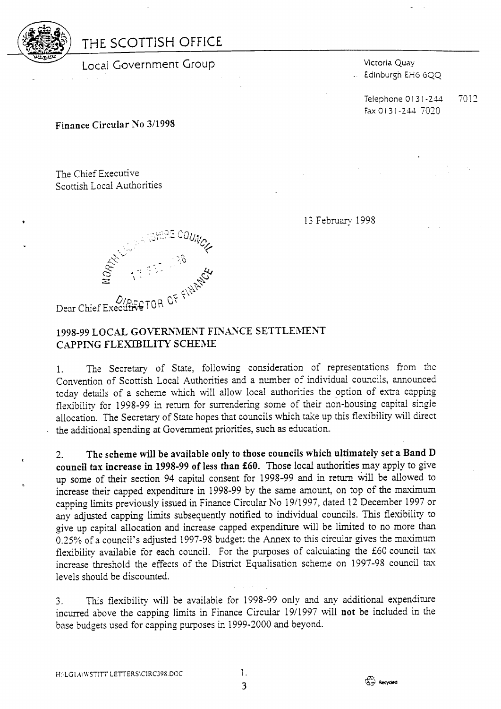

# THE SCOTTISH OFFICE

Local Government Group Management Wictoria Quay

Edinburgh EH6 6QQ

Telephone 0131-244 7012 Fax *0* 1 3 1-244 7020

**Finance Circular No 3/1993** 

The Chief Executive Scottish Local Authorities

13 February 1998



#### 1998-99 LOCAL GOVERNMENT FINANCE SETTLEMENT CAPPISG FLEXIBILITY **SCHEME**

1. The Secretary of State, following consideration of representations from the Convention of Scottish Local Authorities and a number of individual councils, announced today details of a scheme which \%ill allow local authorities the option of extra capping flexibility for 1998-99 in return for surrendering some *of* their non-housing capital singie allocation. The Secretary of State hopes that councils which take up this flexibility will direct . the additional spending at Government priorities, such **as** education.

**2. The scheme will be available only to those councils which ultimately set a Band D council tax increase in 1998-99 of less than f60.** Those local authorities may apply to give up some of their section 94 capital consent for 1998-99 and in return will be allowed to increase their capped expenditure in 1998-99 by the same amount, on top of the mavimum capping limits previously issued in Finance Circular No 19/1997, dated 12 December 1997 or any adjusted capping limits subsequently notified to individual councils. This flexibility to give up capital allocation and increase capped expenditure will be limited to no more than 0.25% of a council's adjusted 1997-98 budget: the Annex to this circular gives the maximum flexibility available for each council. For the purposes of calculating the £60 council tax increase threshold the effects of the District Equalisation scheme on 1997-98 council tax levels should be discounted.

*L1*  This flexibility will be available for 1998-99 only and any additional expenditure incurred above the capping limits in Finance Circular 19/1997 will **not** be included in the base budgets used for capping purposes in 1999-2000 and beyond.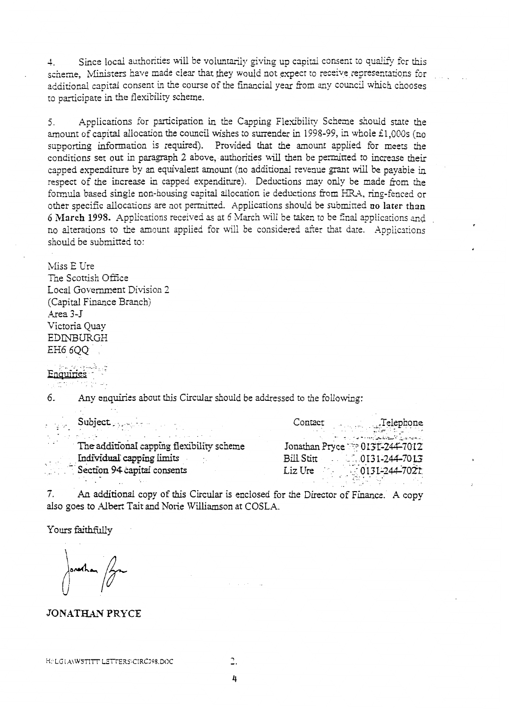4. Since local authorities will be voluntarily giving up capital consent to qualify for this scheme. Ministers have made clear that they would not expect to receive representations for additional capital consent in the course of the financial year from any council which chooses to participate in the flexibility scheme.

*5.* Applications for participation in the Capping Flexibiliry Scheme should state the amount of capital allocation the council wishes to surrender in 1998-99, in whole £1,000s (no supporting information is required). Provided that the amount applied for mezs the conditions set out in paragraph 2 above, authorities will then be permitted to increase their capped expenditure by an equivalent amount (no additional revenue grant will be payable in respect of the increase in capped expenditure). Deductions may only be made from the formula based single non-housing capital allocation ie deductions from HRA, ring-fenced or other specific allocations are not permitted. Applications should be submitted **no later** than 6 March **1998.** Applications received as at 6 March will be taken to be final applications *md*  no alterations to the amount applied for will be considered after that date. Applications should be submitted to:

Miss E Ure

The Scottish Office Local Government Division *2*  (Capital Finance Branch) Area 3-5 Victoria Quay EDINBURGH EH6 *6QQ*  ..

Enquiries

*6. hy* enquiries about this Circular should be addressed to the following:

| Subject Property of the Subject           | Contact Telephone                                                         |
|-------------------------------------------|---------------------------------------------------------------------------|
| The additional capping flexibility scheme | المستحملان فالسفانة والمستحام والمستحدث<br>Jonathan Pryce 220131-244-7012 |
| Individual capping limits                 | $1.0131-244-7013$<br>Bill Stitt                                           |
| Section 94 capital consents               | Liz Ure 0131-244-7021                                                     |

An additional copy of this Circular is enclosed for the Director of Finance. **A** copy **7.**  also goes to Albert Tait and Norie Williamson at COSLA.

Yours faithfully

ΩĤ.

#### **JONATHAN PRYCE**

-.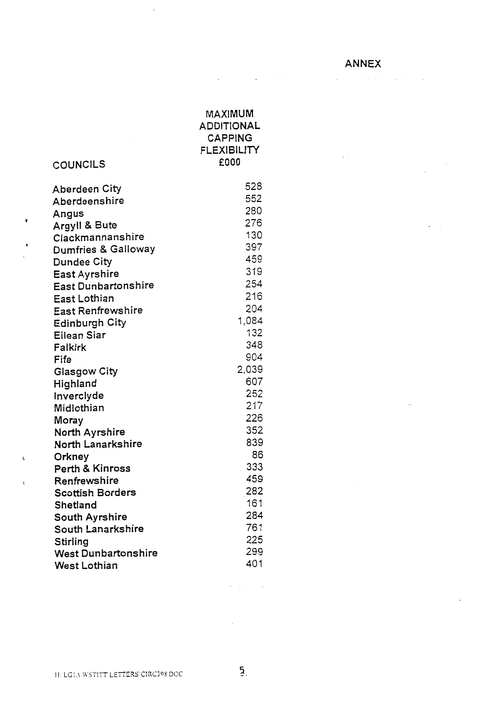**ANNEX** 

 $\label{eq:1} \mathcal{L}(\mathbf{z}) = \mathcal{L}(\mathbf{z}) \mathcal{L}(\mathbf{z}) = \mathcal{L}(\mathbf{z}) \mathcal{L}(\mathbf{z}) = \mathcal{L}(\mathbf{z}) \mathcal{L}(\mathbf{z})$ 

 $\mathcal{L}^{\text{max}}$ 

 $\sim 10^{11}$ 

 $\sim 10^{-11}$ 

| COUNCILS                       | MAXIMUM<br><b>ADDITIONAL</b><br><b>CAPPING</b><br><b>FLEXIBILITY</b><br>£000 |
|--------------------------------|------------------------------------------------------------------------------|
| Aberdeen City                  | 528                                                                          |
| Aberdeenshire                  | 552                                                                          |
|                                | 280                                                                          |
| Angus<br>Argyll & Bute         | 276                                                                          |
| Clackmannanshire               | 130                                                                          |
| <b>Dumfries &amp; Galloway</b> | 397                                                                          |
| <b>Dundee City</b>             | 459                                                                          |
| East Ayrshire                  | 319                                                                          |
| <b>East Dunbartonshire</b>     | 254                                                                          |
| East Lothian                   | 216                                                                          |
| East Renfrewshire              | 204                                                                          |
| <b>Edinburgh City</b>          | 1,084                                                                        |
| Eilean Siar                    | 132                                                                          |
| Falkirk                        | 348                                                                          |
| Fife                           | 904                                                                          |
| <b>Glasgow City</b>            | 2,039                                                                        |
| Highland                       | 607                                                                          |
| Inverclyde                     | 252                                                                          |
| Midlothian                     | 217                                                                          |
| Moray                          | 226                                                                          |
| North Ayrshire                 | 352                                                                          |
| North Lanarkshire              | 839                                                                          |
| Orkney                         | 86                                                                           |
| Perth & Kinross                | 333                                                                          |
| Renfrewshire                   | 459                                                                          |
| <b>Scottish Borders</b>        | 282                                                                          |
| Shetland                       | 161                                                                          |
| <b>South Ayrshire</b>          | 284                                                                          |
| South Lanarkshire              | 761                                                                          |
| Stirling                       | 225                                                                          |
| <b>West Dunbartonshire</b>     | 299                                                                          |
| West Lothian                   | 401                                                                          |

 $\pmb{\cdot}$ 

 $\bar{\zeta}$ 

 $\bar{\mathbf{t}}_i$ 

 $\bar{\mathcal{A}}$ 

 $\mathcal{L}$ 

**Contractor** 

 $\sim 10^{-1}$ 

 $\mathcal{A}$  , where  $\mathcal{A}$  is a  $\mathcal{A}$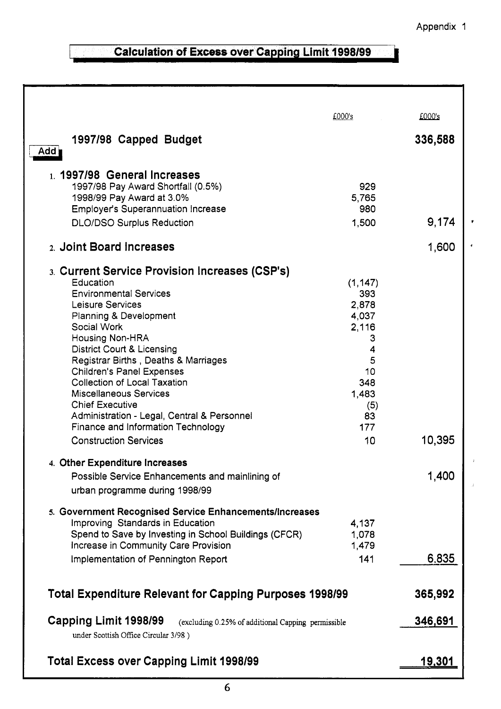٦

# **Calculation of Excess over Capping Limit 1998/99**

Г

|                                                                                   | £000's         | £000's        |  |
|-----------------------------------------------------------------------------------|----------------|---------------|--|
|                                                                                   |                |               |  |
| 1997/98 Capped Budget                                                             |                | 336,588       |  |
| Add                                                                               |                |               |  |
| 1. 1997/98 General Increases                                                      |                |               |  |
| 1997/98 Pay Award Shortfall (0.5%)                                                | 929            |               |  |
| 1998/99 Pay Award at 3.0%                                                         | 5,765          |               |  |
| <b>Employer's Superannuation Increase</b>                                         | 980            |               |  |
| <b>DLO/DSO Surplus Reduction</b>                                                  | 1,500          | 9,174         |  |
| 2. Joint Board Increases                                                          |                | 1,600         |  |
| 3. Current Service Provision Increases (CSP's)                                    |                |               |  |
| Education                                                                         | (1, 147)       |               |  |
| <b>Environmental Services</b>                                                     | 393            |               |  |
| Leisure Services                                                                  | 2,878<br>4,037 |               |  |
| Planning & Development<br>Social Work                                             | 2,116          |               |  |
| Housing Non-HRA                                                                   | 3              |               |  |
| <b>District Court &amp; Licensing</b>                                             | 4              |               |  |
| Registrar Births, Deaths & Marriages                                              | 5              |               |  |
| <b>Children's Panel Expenses</b>                                                  | 10             |               |  |
| <b>Collection of Local Taxation</b>                                               | 348            |               |  |
| <b>Miscellaneous Services</b>                                                     | 1,483          |               |  |
| <b>Chief Executive</b>                                                            | (5)<br>83      |               |  |
| Administration - Legal, Central & Personnel<br>Finance and Information Technology | 177            |               |  |
| <b>Construction Services</b>                                                      | 10             | 10,395        |  |
|                                                                                   |                |               |  |
| 4. Other Expenditure Increases                                                    |                |               |  |
| Possible Service Enhancements and mainlining of                                   |                | 1,400         |  |
| urban programme during 1998/99                                                    |                |               |  |
| 5. Government Recognised Service Enhancements/Increases                           |                |               |  |
| Improving Standards in Education                                                  | 4,137          |               |  |
| Spend to Save by Investing in School Buildings (CFCR)                             | 1,078          |               |  |
| Increase in Community Care Provision                                              | 1,479          |               |  |
| Implementation of Pennington Report                                               | 141            | 6,835         |  |
| <b>Total Expenditure Relevant for Capping Purposes 1998/99</b><br>365,992         |                |               |  |
| Capping Limit 1998/99<br>(excluding 0.25% of additional Capping permissible       |                | 346,691       |  |
| under Scottish Office Circular 3/98)                                              |                |               |  |
| <b>Total Excess over Capping Limit 1998/99</b>                                    |                | <u>19,301</u> |  |
|                                                                                   |                |               |  |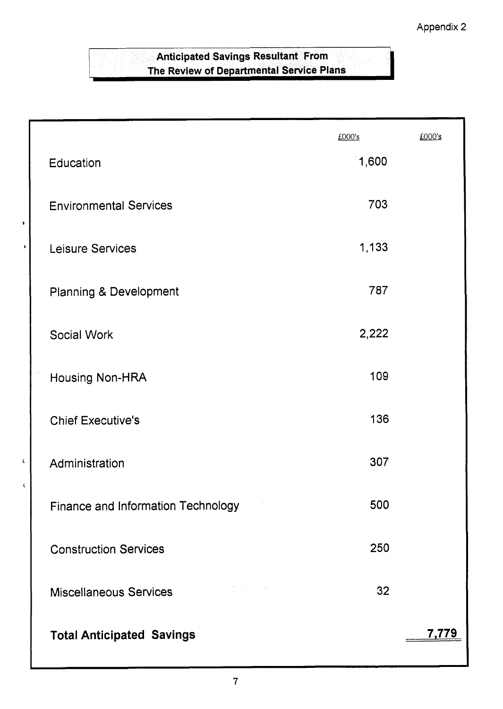## **Anticipated Savings Resultant From** The Review of Departmental Service Plans

 $\mathbf{r}$ 

 $\pmb{\zeta}$ 

 $\hat{\mathbf{r}}$ 

|                                    | £000's | £000's |
|------------------------------------|--------|--------|
| Education                          | 1,600  |        |
| <b>Environmental Services</b>      | 703    |        |
| Leisure Services                   | 1,133  |        |
| Planning & Development             | 787    |        |
| Social Work                        | 2,222  |        |
| Housing Non-HRA                    | 109    |        |
| <b>Chief Executive's</b>           | 136    |        |
| Administration                     | 307    |        |
| Finance and Information Technology | 500    |        |
| <b>Construction Services</b>       | 250    |        |
| <b>Miscellaneous Services</b>      | 32     |        |
| <b>Total Anticipated Savings</b>   |        | 7,779  |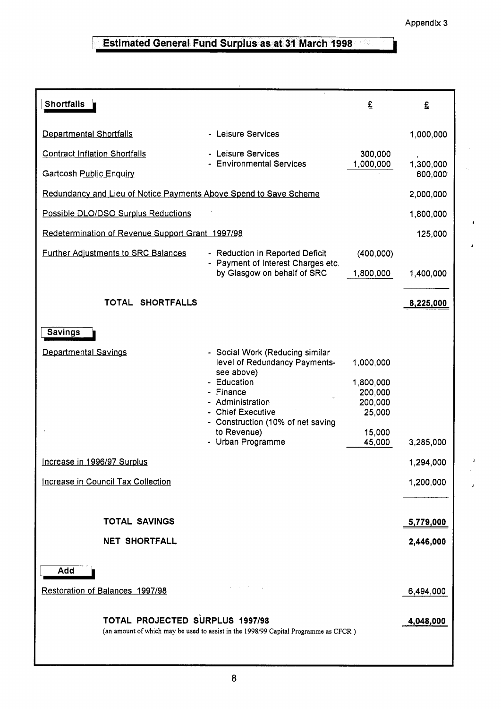$\,$   $\,$ 

# **Estimated General Fund Surplus as at 31 March 1998**

| <b>Shortfalls</b>                                                 |                                                                                                                                                                                                     | £                                                                | £                    |
|-------------------------------------------------------------------|-----------------------------------------------------------------------------------------------------------------------------------------------------------------------------------------------------|------------------------------------------------------------------|----------------------|
| Departmental Shortfalls                                           | - Leisure Services                                                                                                                                                                                  |                                                                  | 1,000,000            |
| <b>Contract Inflation Shortfalls</b>                              | - Leisure Services                                                                                                                                                                                  | 300,000                                                          |                      |
| <b>Gartcosh Public Enquiry</b>                                    | - Environmental Services                                                                                                                                                                            | 1,000,000                                                        | 1,300,000<br>600,000 |
| Redundancy and Lieu of Notice Payments Above Spend to Save Scheme |                                                                                                                                                                                                     |                                                                  | 2,000,000            |
| Possible DLO/DSO Surplus Reductions                               |                                                                                                                                                                                                     |                                                                  | 1,800,000            |
| Redetermination of Revenue Support Grant 1997/98                  |                                                                                                                                                                                                     |                                                                  | 125,000              |
| <b>Further Adjustments to SRC Balances</b>                        | - Reduction in Reported Deficit<br>- Payment of Interest Charges etc.                                                                                                                               | (400,000)                                                        |                      |
|                                                                   | by Glasgow on behalf of SRC                                                                                                                                                                         | 1,800,000                                                        | 1,400,000            |
| TOTAL SHORTFALLS                                                  |                                                                                                                                                                                                     |                                                                  | 8,225,000            |
| <b>Savings</b>                                                    |                                                                                                                                                                                                     |                                                                  |                      |
| Departmental Savings                                              | - Social Work (Reducing similar<br>level of Redundancy Payments-<br>see above)<br>- Education<br>Finance<br>Administration<br>- Chief Executive<br>- Construction (10% of net saving<br>to Revenue) | 1,000,000<br>1,800,000<br>200,000<br>200,000<br>25,000<br>15,000 |                      |
|                                                                   | - Urban Programme                                                                                                                                                                                   | 45,000                                                           | 3,285,000            |
| Increase in 1996/97 Surplus                                       |                                                                                                                                                                                                     |                                                                  | 1,294,000            |
| Increase in Council Tax Collection                                |                                                                                                                                                                                                     |                                                                  | 1,200,000            |
| <b>TOTAL SAVINGS</b>                                              |                                                                                                                                                                                                     |                                                                  |                      |
|                                                                   |                                                                                                                                                                                                     |                                                                  | 5,779,000            |
| <b>NET SHORTFALL</b>                                              |                                                                                                                                                                                                     |                                                                  | 2,446,000            |
| Add                                                               |                                                                                                                                                                                                     |                                                                  |                      |
| Restoration of Balances 1997/98                                   |                                                                                                                                                                                                     |                                                                  | 6,494,000            |
| TOTAL PROJECTED SURPLUS 1997/98                                   | (an amount of which may be used to assist in the 1998/99 Capital Programme as CFCR)                                                                                                                 |                                                                  | 4,048,000            |